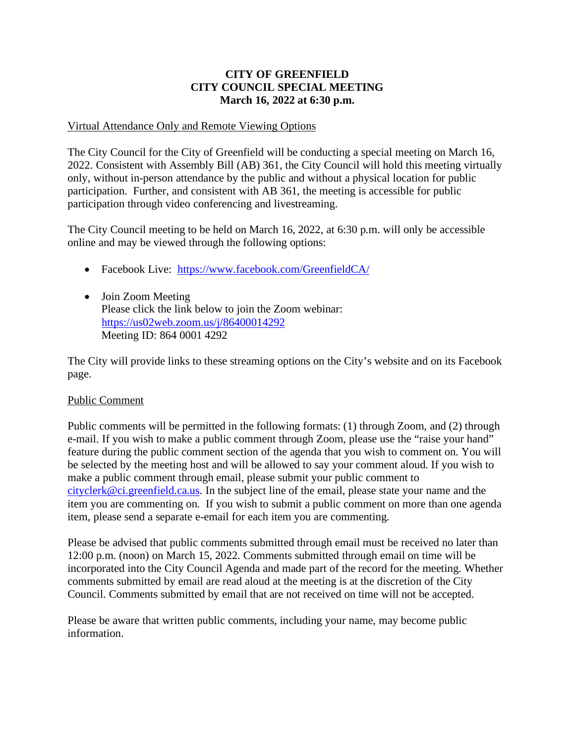#### **CITY OF GREENFIELD CITY COUNCIL SPECIAL MEETING March 16, 2022 at 6:30 p.m.**

#### Virtual Attendance Only and Remote Viewing Options

The City Council for the City of Greenfield will be conducting a special meeting on March 16, 2022. Consistent with Assembly Bill (AB) 361, the City Council will hold this meeting virtually only, without in-person attendance by the public and without a physical location for public participation. Further, and consistent with AB 361, the meeting is accessible for public participation through video conferencing and livestreaming.

The City Council meeting to be held on March 16, 2022, at 6:30 p.m. will only be accessible online and may be viewed through the following options:

- Facebook Live: <https://www.facebook.com/GreenfieldCA/>
- Join Zoom Meeting Please click the link below to join the Zoom webinar: <https://us02web.zoom.us/j/86400014292> Meeting ID: 864 0001 4292

The City will provide links to these streaming options on the City's website and on its Facebook page.

#### Public Comment

Public comments will be permitted in the following formats: (1) through Zoom, and (2) through e-mail. If you wish to make a public comment through Zoom, please use the "raise your hand" feature during the public comment section of the agenda that you wish to comment on. You will be selected by the meeting host and will be allowed to say your comment aloud. If you wish to make a public comment through email, please submit your public comment to [cityclerk@ci.greenfield.ca.us.](mailto:cityclerk@ci.greenfield.ca.us) In the subject line of the email, please state your name and the item you are commenting on. If you wish to submit a public comment on more than one agenda item, please send a separate e-email for each item you are commenting.

Please be advised that public comments submitted through email must be received no later than 12:00 p.m. (noon) on March 15, 2022. Comments submitted through email on time will be incorporated into the City Council Agenda and made part of the record for the meeting. Whether comments submitted by email are read aloud at the meeting is at the discretion of the City Council. Comments submitted by email that are not received on time will not be accepted.

Please be aware that written public comments, including your name, may become public information.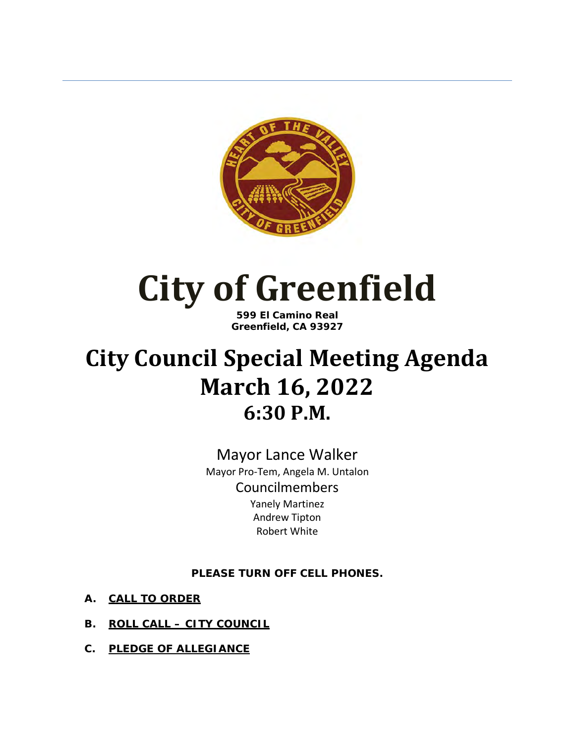

## **City of Greenfield**

**599 El Camino Real Greenfield, CA 93927**

#### **City Council Special Meeting Agenda March 16, 2022 6:30 P.M.**

Mayor Lance Walker Mayor Pro-Tem, Angela M. Untalon Councilmembers Yanely Martinez Andrew Tipton Robert White

**PLEASE TURN OFF CELL PHONES.** 

- **A. CALL TO ORDER**
- **B. ROLL CALL CITY COUNCIL**
- **C. PLEDGE OF ALLEGIANCE**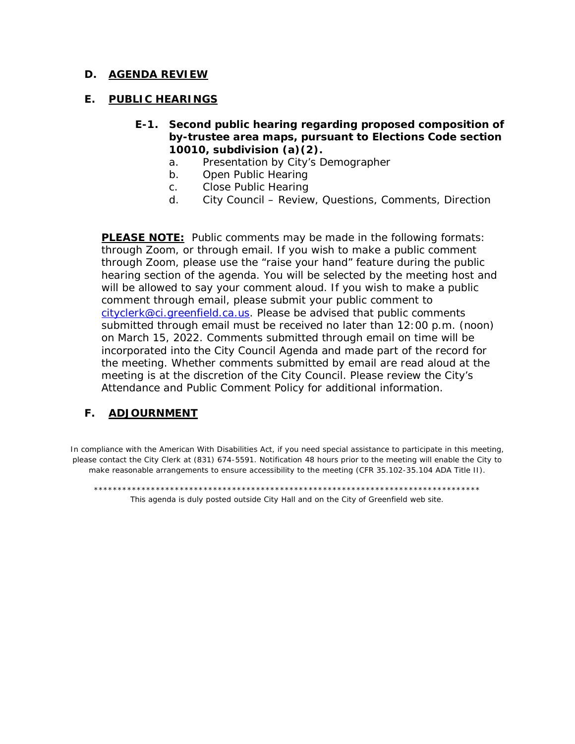#### **D. AGENDA REVIEW**

#### **E. PUBLIC HEARINGS**

- **E-1. Second public hearing regarding proposed composition of by-trustee area maps, pursuant to Elections Code section 10010, subdivision (a)(2).**
	- a. Presentation by City's Demographer
	- b. Open Public Hearing
	- c. Close Public Hearing
	- d. City Council Review, Questions, Comments, Direction

**PLEASE NOTE:** Public comments may be made in the following formats: through Zoom, or through email. If you wish to make a public comment through Zoom, please use the "raise your hand" feature during the public hearing section of the agenda. You will be selected by the meeting host and will be allowed to say your comment aloud. If you wish to make a public comment through email, please submit your public comment to [cityclerk@ci.greenfield.ca.us.](mailto:cityclerk@ci.greenfield.ca.us) Please be advised that public comments submitted through email must be received no later than 12:00 p.m. (noon) on March 15, 2022. Comments submitted through email on time will be incorporated into the City Council Agenda and made part of the record for the meeting. Whether comments submitted by email are read aloud at the meeting is at the discretion of the City Council. Please review the City's Attendance and Public Comment Policy for additional information.

#### **F. ADJOURNMENT**

In compliance with the American With Disabilities Act, if you need special assistance to participate in this meeting, please contact the City Clerk at (831) 674-5591. Notification 48 hours prior to the meeting will enable the City to make reasonable arrangements to ensure accessibility to the meeting (CFR 35.102-35.104 ADA Title II).

\*\*\*\*\*\*\*\*\*\*\*\*\*\*\*\*\*\*\*\*\*\*\*\*\*\*\*\*\*\*\*\*\*\*\*\*\*\*\*\*\*\*\*\*\*\*\*\*\*\*\*\*\*\*\*\*\*\*\*\*\*\*\*\*\*\*\*\*\*\*\*\*\*\*\*\*\*\*\*\*\* This agenda is duly posted outside City Hall and on the City of Greenfield web site.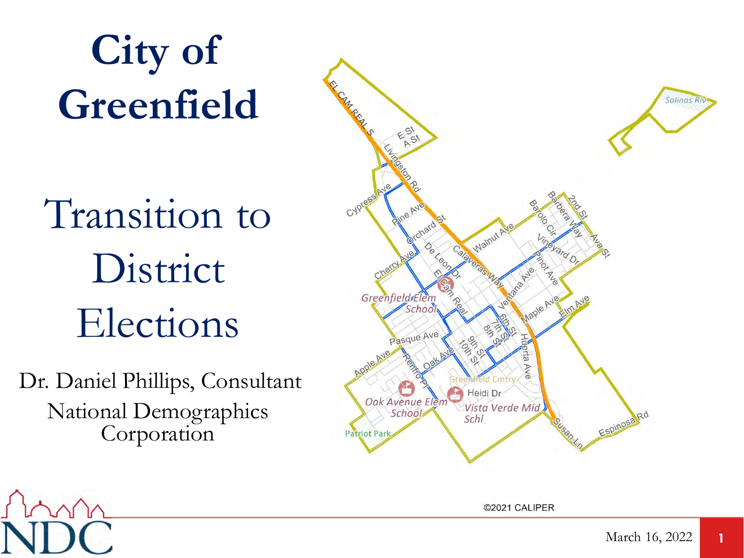# **City of Greenfield**

# Transition to District Elections

Dr. Daniel Phillips, Consultant National Demographics Corporation



©2021 CALIPER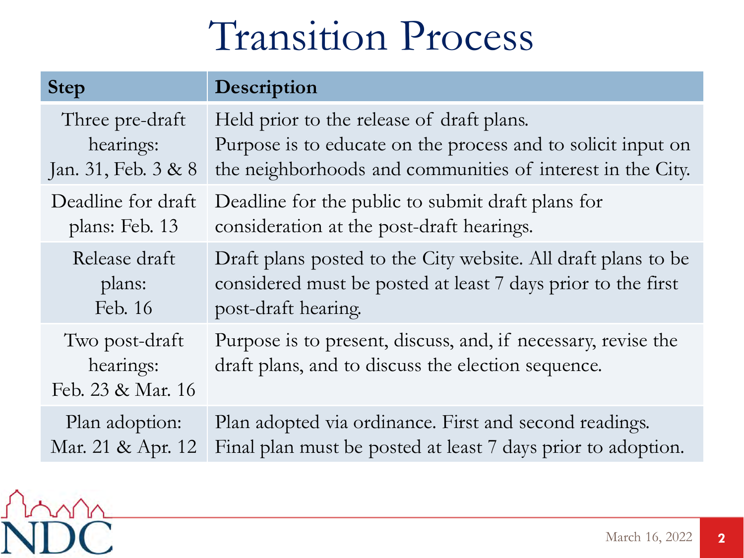### Transition Process

| <b>Step</b>                                      | Description                                                                                                         |
|--------------------------------------------------|---------------------------------------------------------------------------------------------------------------------|
| Three pre-draft                                  | Held prior to the release of draft plans.                                                                           |
| hearings:                                        | Purpose is to educate on the process and to solicit input on                                                        |
| Jan. 31, Feb. 3 & 8                              | the neighborhoods and communities of interest in the City.                                                          |
| Deadline for draft                               | Deadline for the public to submit draft plans for                                                                   |
| plans: Feb. 13                                   | consideration at the post-draft hearings.                                                                           |
| Release draft                                    | Draft plans posted to the City website. All draft plans to be                                                       |
| plans:                                           | considered must be posted at least 7 days prior to the first                                                        |
| Feb. 16                                          | post-draft hearing.                                                                                                 |
| Two post-draft<br>hearings:<br>Feb. 23 & Mar. 16 | Purpose is to present, discuss, and, if necessary, revise the<br>draft plans, and to discuss the election sequence. |
| Plan adoption:                                   | Plan adopted via ordinance. First and second readings.                                                              |
| Mar. 21 & Apr. 12                                | Final plan must be posted at least 7 days prior to adoption.                                                        |

m

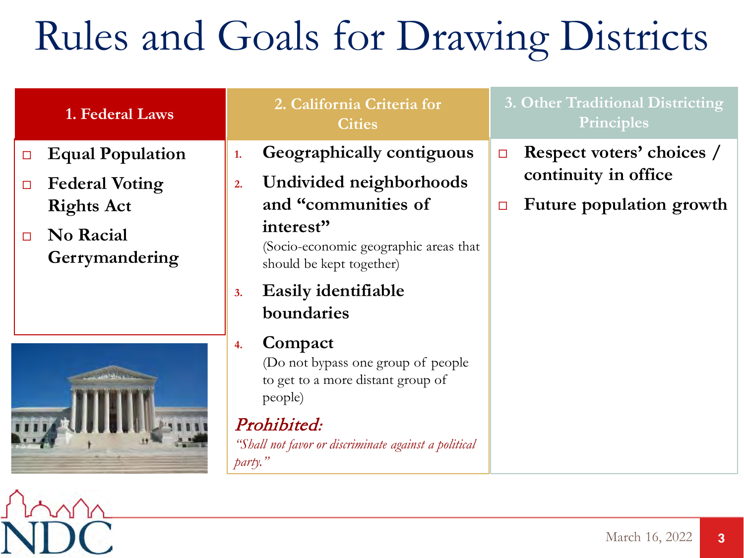# Rules and Goals for Drawing Districts

| 1. Federal Laws                       | 2. California Criteria for<br><b>Cities</b>                                                                                                                                            | 3. Other Traditional Districting<br>Principles |  |
|---------------------------------------|----------------------------------------------------------------------------------------------------------------------------------------------------------------------------------------|------------------------------------------------|--|
| <b>Equal Population</b><br>$\Box$     | Geographically contiguous<br>1.                                                                                                                                                        | Respect voters' choices /<br>$\Box$            |  |
| <b>Federal Voting</b><br>$\Box$       | Undivided neighborhoods<br>2.                                                                                                                                                          | continuity in office                           |  |
| <b>Rights Act</b>                     | and "communities of<br>interest"                                                                                                                                                       | Future population growth<br>$\Box$             |  |
| No Racial<br>$\Box$<br>Gerrymandering | (Socio-economic geographic areas that<br>should be kept together)                                                                                                                      |                                                |  |
|                                       | Easily identifiable<br>3.<br>boundaries                                                                                                                                                |                                                |  |
|                                       | Compact<br>4.<br>(Do not bypass one group of people)<br>to get to a more distant group of<br>people)<br>Prohibited:<br>"Shall not favor or discriminate against a political<br>party." |                                                |  |

m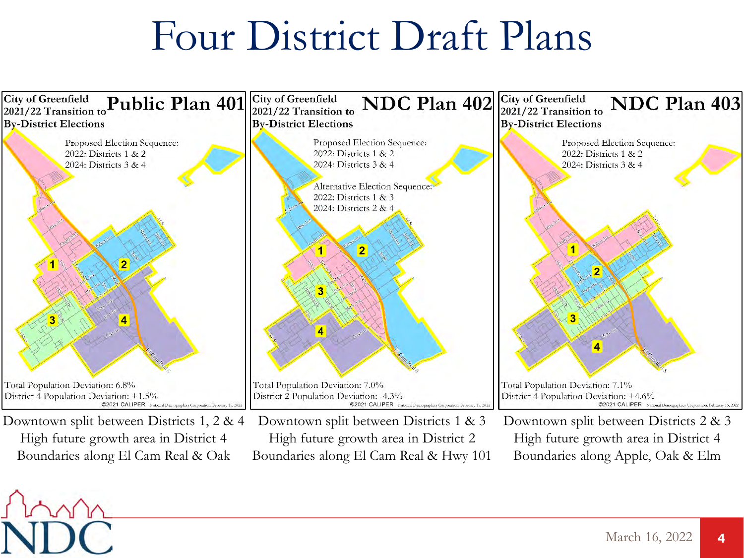### Four District Draft Plans

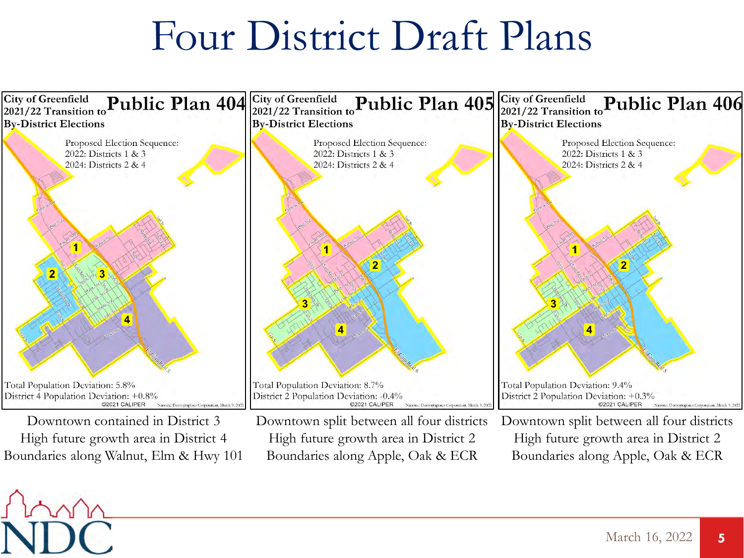### Four District Draft Plans



High future growth area in District 4 Boundaries along Walnut, Elm & Hwy 101

High future growth area in District 2 Boundaries along Apple, Oak & ECR

High future growth area in District 2 Boundaries along Apple, Oak & ECR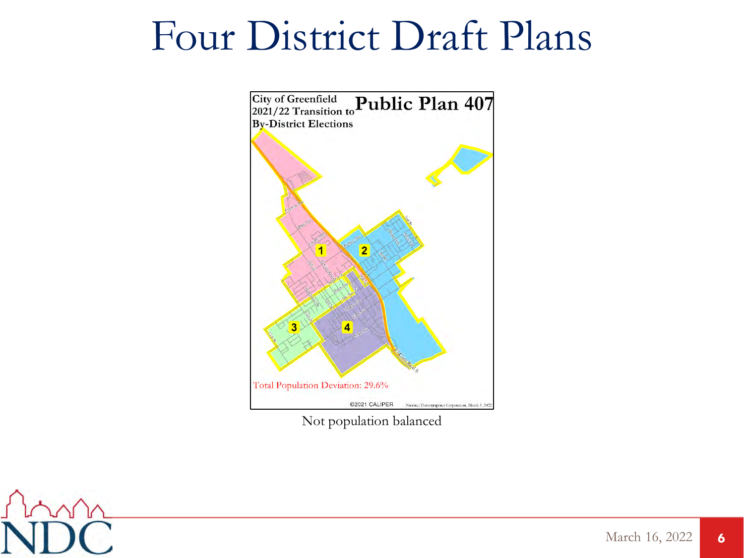### Four District Draft Plans



Not population balanced

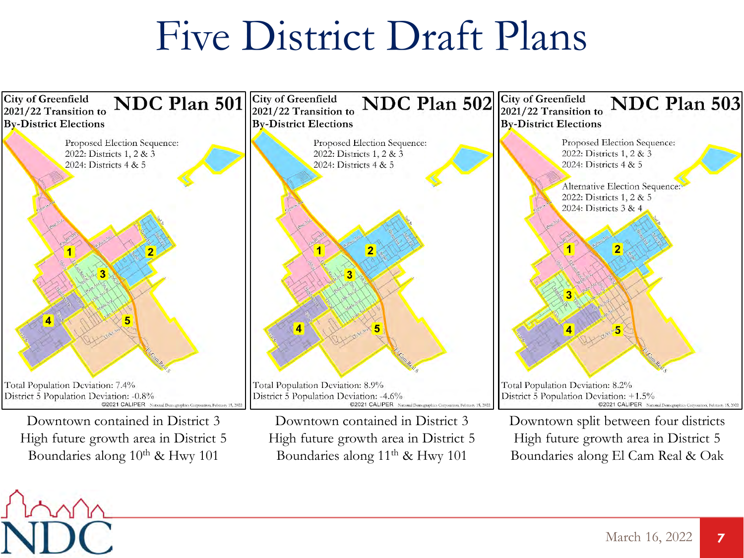### Five District Draft Plans

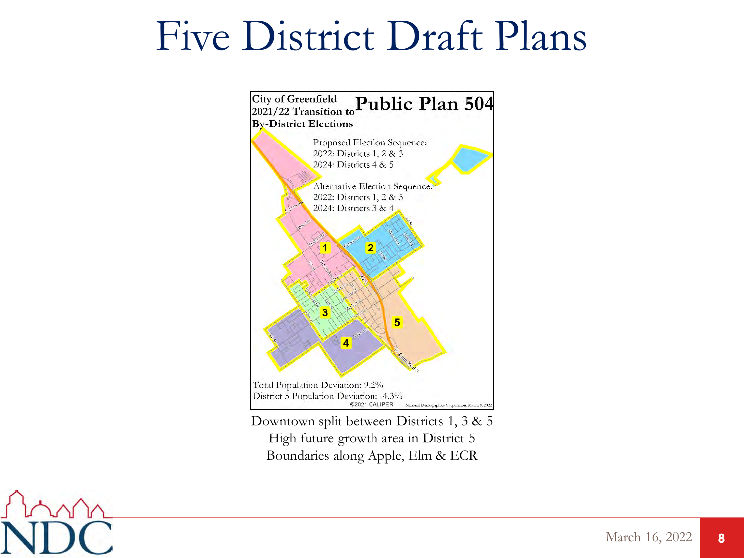### Five District Draft Plans



High future growth area in District 5 Boundaries along Apple, Elm & ECR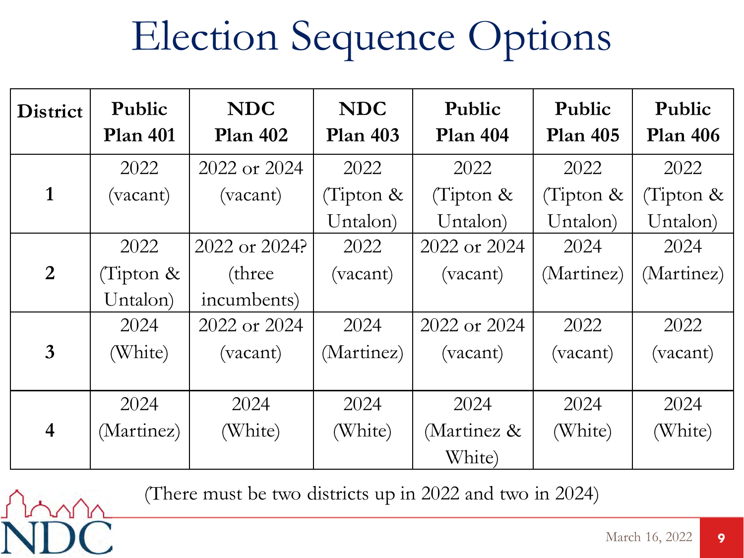# Election Sequence Options

| <b>District</b> | Public<br><b>Plan 401</b> | <b>NDC</b><br><b>Plan 402</b> | <b>NDC</b><br>Plan <sub>403</sub> | Public<br><b>Plan 404</b> | Public<br><b>Plan 405</b> | Public<br><b>Plan 406</b> |
|-----------------|---------------------------|-------------------------------|-----------------------------------|---------------------------|---------------------------|---------------------------|
|                 | 2022                      | 2022 or 2024                  | 2022                              | 2022                      | 2022                      | 2022                      |
| $\mathbf{1}$    | (vacant)                  | (vacant)                      | (Tipton $\&$                      | (Tipton $\&$              | (Tipton $\&$              | (Tipton $\&$              |
|                 |                           |                               | Untalon)                          | Untalon)                  | Untalon)                  | Untalon)                  |
|                 | 2022                      | 2022 or 2024?                 | 2022                              | 2022 or 2024              | 2024                      | 2024                      |
| $\overline{2}$  | (Tipton &                 | (three)                       | (vacant)                          | (vacant)                  | (Martinez)                | (Martinez)                |
|                 | Untalon)                  | incumbents)                   |                                   |                           |                           |                           |
|                 | 2024                      | 2022 or 2024                  | 2024                              | 2022 or 2024              | 2022                      | 2022                      |
| $\overline{3}$  | (White)                   | (vacant)                      | (Martinez)                        | (vacant)                  | (vacant)                  | (vacant)                  |
|                 |                           |                               |                                   |                           |                           |                           |
|                 | 2024                      | 2024                          | 2024                              | 2024                      | 2024                      | 2024                      |
| $\overline{4}$  | (Martinez)                | (White)                       | (White)                           | (Martinez &               | (White)                   | (White)                   |
|                 |                           |                               |                                   | White)                    |                           |                           |

(There must be two districts up in 2022 and two in 2024)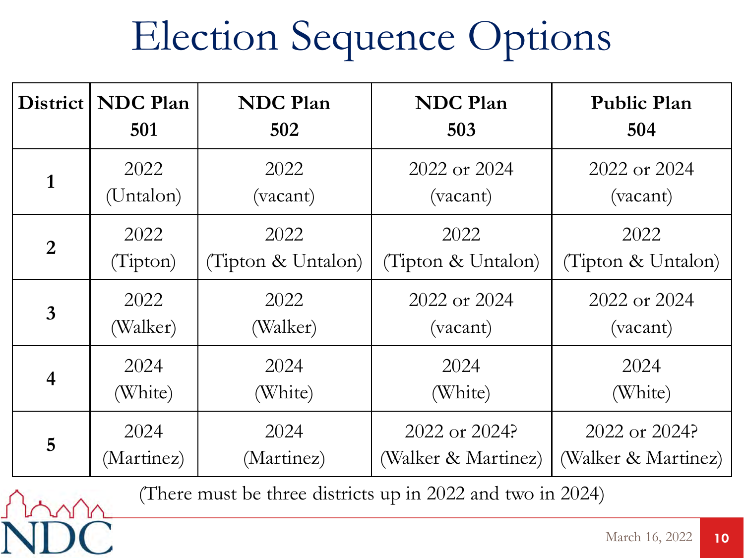# Election Sequence Options

| District       | <b>NDC</b> Plan | <b>NDC</b> Plan    | <b>NDC</b> Plan     | <b>Public Plan</b>  |
|----------------|-----------------|--------------------|---------------------|---------------------|
|                | 501             | 502                | 503                 | 504                 |
| 1              | 2022            | 2022               | 2022 or 2024        | 2022 or 2024        |
|                | (Untalon)       | (vacant)           | (vacant)            | (vacant)            |
| 2              | 2022            | 2022               | 2022                | 2022                |
|                | (Tipton)        | (Tipton & Untalon) | (Tipton & Untalon)  | (Tipton & Untalon)  |
| $\overline{3}$ | 2022            | 2022               | 2022 or 2024        | 2022 or 2024        |
|                | (Walker)        | (Walker)           | (vacant)            | (vacant)            |
| 4              | 2024            | 2024               | 2024                | 2024                |
|                | (White)         | (White)            | (White)             | (White)             |
| 5              | 2024            | 2024               | 2022 or 2024?       | $2022$ or $2024$ ?  |
|                | (Martinez)      | (Martinez)         | (Walker & Martinez) | (Walker & Martinez) |

(There must be three districts up in 2022 and two in 2024)